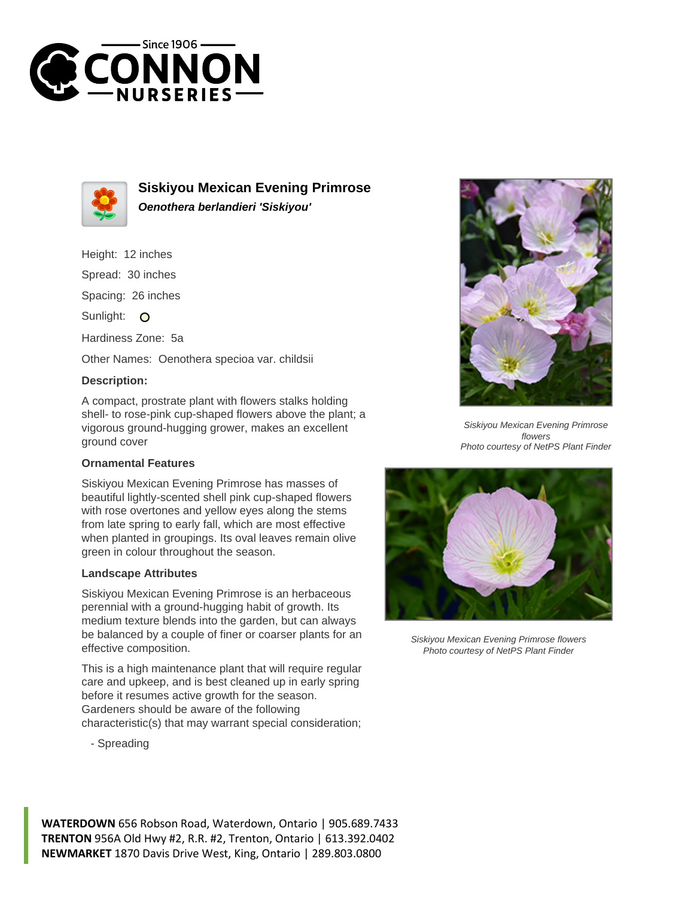



**Siskiyou Mexican Evening Primrose Oenothera berlandieri 'Siskiyou'**

- Height: 12 inches
- Spread: 30 inches

Spacing: 26 inches

Sunlight: O

Hardiness Zone: 5a

Other Names: Oenothera specioa var. childsii

## **Description:**

A compact, prostrate plant with flowers stalks holding shell- to rose-pink cup-shaped flowers above the plant; a vigorous ground-hugging grower, makes an excellent ground cover

## **Ornamental Features**

Siskiyou Mexican Evening Primrose has masses of beautiful lightly-scented shell pink cup-shaped flowers with rose overtones and yellow eyes along the stems from late spring to early fall, which are most effective when planted in groupings. Its oval leaves remain olive green in colour throughout the season.

## **Landscape Attributes**

Siskiyou Mexican Evening Primrose is an herbaceous perennial with a ground-hugging habit of growth. Its medium texture blends into the garden, but can always be balanced by a couple of finer or coarser plants for an effective composition.

This is a high maintenance plant that will require regular care and upkeep, and is best cleaned up in early spring before it resumes active growth for the season. Gardeners should be aware of the following characteristic(s) that may warrant special consideration;



Siskiyou Mexican Evening Primrose flowers Photo courtesy of NetPS Plant Finder



Siskiyou Mexican Evening Primrose flowers Photo courtesy of NetPS Plant Finder

- Spreading

**WATERDOWN** 656 Robson Road, Waterdown, Ontario | 905.689.7433 **TRENTON** 956A Old Hwy #2, R.R. #2, Trenton, Ontario | 613.392.0402 **NEWMARKET** 1870 Davis Drive West, King, Ontario | 289.803.0800